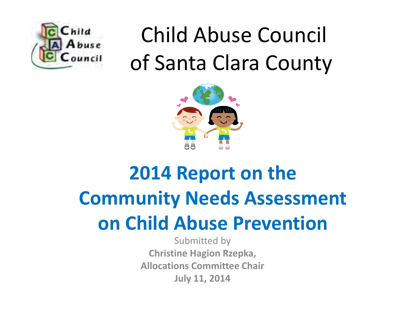

# Child Abuse Council **Puncil** of Santa Clara County



#### **2014 Report on the Community Needs Assessment on Child Abuse Prevention**

Submitted by **Christine Hagion Rzepka, Allocations Committee Chair July 11, 2014**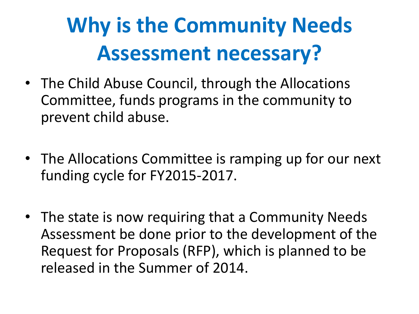## **Why is the Community Needs Assessment necessary?**

- The Child Abuse Council, through the Allocations Committee, funds programs in the community to prevent child abuse.
- The Allocations Committee is ramping up for our next funding cycle for FY2015-2017.
- The state is now requiring that a Community Needs Assessment be done prior to the development of the Request for Proposals (RFP), which is planned to be released in the Summer of 2014.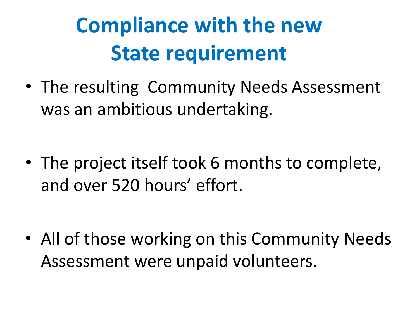## **Compliance with the new State requirement**

• The resulting Community Needs Assessment was an ambitious undertaking.

• The project itself took 6 months to complete, and over 520 hours' effort.

• All of those working on this Community Needs Assessment were unpaid volunteers.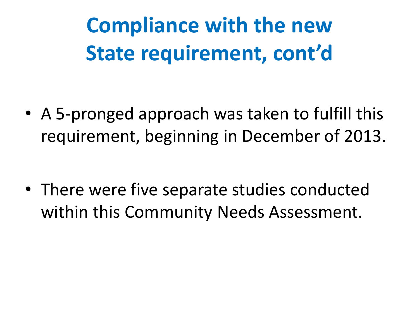**Compliance with the new State requirement, cont'd**

• A 5-pronged approach was taken to fulfill this requirement, beginning in December of 2013.

• There were five separate studies conducted within this Community Needs Assessment.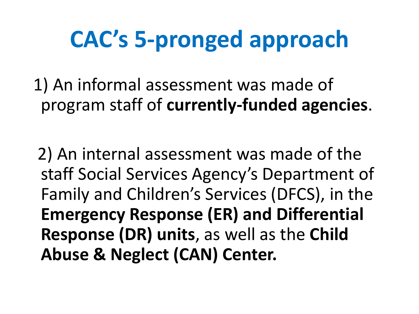## **CAC's 5-pronged approach**

 1) An informal assessment was made of program staff of **currently-funded agencies**.

 2) An internal assessment was made of the staff Social Services Agency's Department of Family and Children's Services (DFCS), in the **Emergency Response (ER) and Differential Response (DR) units**, as well as the **Child Abuse & Neglect (CAN) Center.**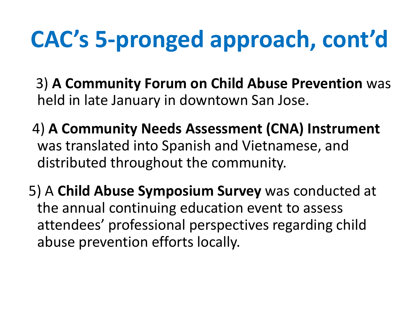# **CAC's 5-pronged approach, cont'd**

- 3) **A Community Forum on Child Abuse Prevention** was held in late January in downtown San Jose.
- 4) **A Community Needs Assessment (CNA) Instrument**  was translated into Spanish and Vietnamese, and distributed throughout the community.
- 5) A **Child Abuse Symposium Survey** was conducted at the annual continuing education event to assess attendees' professional perspectives regarding child abuse prevention efforts locally.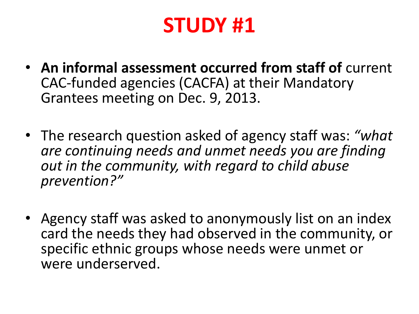#### **STUDY #1**

- **An informal assessment occurred from staff of** current CAC-funded agencies (CACFA) at their Mandatory Grantees meeting on Dec. 9, 2013.
- The research question asked of agency staff was: *"what are continuing needs and unmet needs you are finding out in the community, with regard to child abuse prevention?"*
- Agency staff was asked to anonymously list on an index card the needs they had observed in the community, or specific ethnic groups whose needs were unmet or were underserved.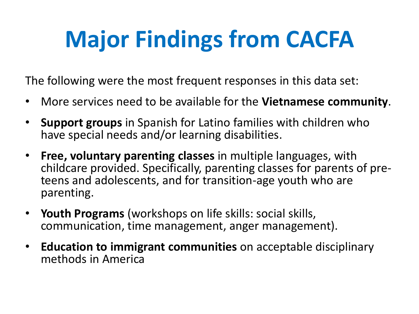# **Major Findings from CACFA**

The following were the most frequent responses in this data set:

- More services need to be available for the **Vietnamese community**.
- **Support groups** in Spanish for Latino families with children who have special needs and/or learning disabilities.
- **Free, voluntary parenting classes** in multiple languages, with childcare provided. Specifically, parenting classes for parents of preteens and adolescents, and for transition-age youth who are parenting.
- **Youth Programs** (workshops on life skills: social skills, communication, time management, anger management).
- **Education to immigrant communities** on acceptable disciplinary methods in America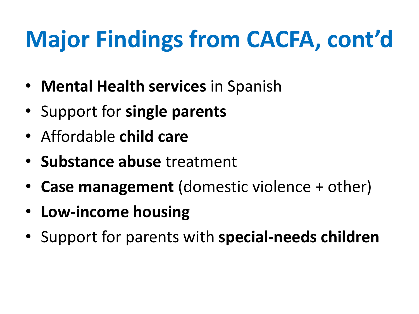# **Major Findings from CACFA, cont'd**

- **Mental Health services** in Spanish
- Support for **single parents**
- Affordable **child care**
- **Substance abuse** treatment
- **Case management** (domestic violence + other)
- **Low-income housing**
- Support for parents with **special-needs children**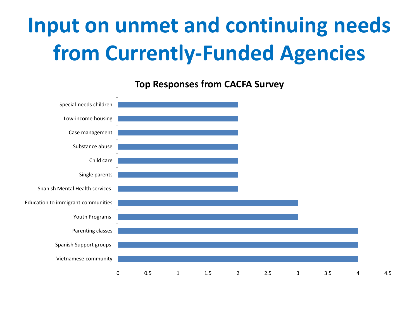### **Input on unmet and continuing needs from Currently-Funded Agencies**

0 0.5 1 1.5 2 2.5 3 3.5 4 4.5 Vietnamese community Spanish Support groups Parenting classes Youth Programs Education to immigrant communities Spanish Mental Health services Single parents Child care Substance abuse Case management Low-income housing Special-needs children

**Top Responses from CACFA Survey**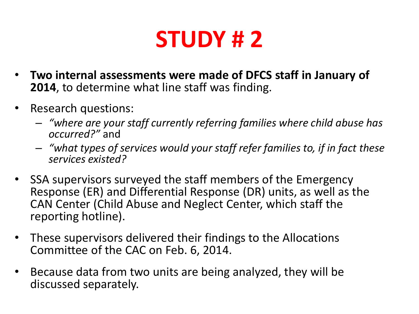### **STUDY # 2**

- **Two internal assessments were made of DFCS staff in January of 2014**, to determine what line staff was finding.
- Research questions:
	- *"where are your staff currently referring families where child abuse has occurred?"* and
	- *"what types of services would your staff refer families to, if in fact these services existed?*
- SSA supervisors surveyed the staff members of the Emergency Response (ER) and Differential Response (DR) units, as well as the CAN Center (Child Abuse and Neglect Center, which staff the reporting hotline).
- These supervisors delivered their findings to the Allocations Committee of the CAC on Feb. 6, 2014.
- Because data from two units are being analyzed, they will be discussed separately.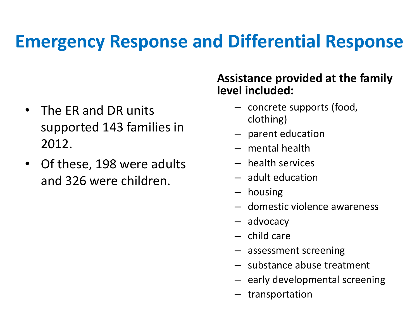#### **Emergency Response and Differential Response**

- The ER and DR units supported 143 families in 2012.
- Of these, 198 were adults and 326 were children.

#### **Assistance provided at the family level included:**

- concrete supports (food, clothing)
- parent education
- mental health
- health services
- adult education
- housing
- domestic violence awareness
- advocacy
- child care
- assessment screening
- substance abuse treatment
- early developmental screening
- transportation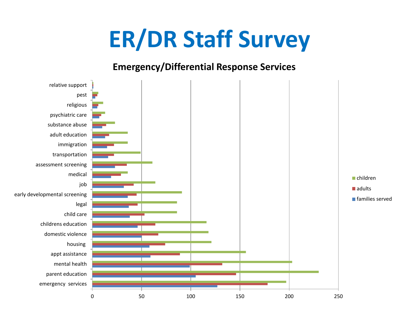### **ER/DR Staff Survey**

#### **Emergency/Differential Response Services**

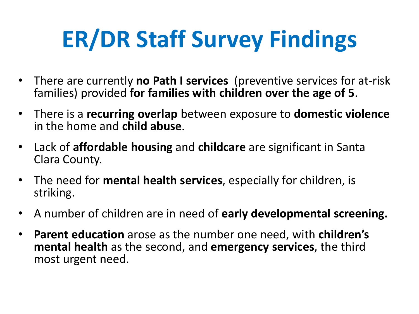# **ER/DR Staff Survey Findings**

- There are currently **no Path I services** (preventive services for at-risk families) provided **for families with children over the age of 5**.
- There is a **recurring overlap** between exposure to **domestic violence** in the home and **child abuse**.
- Lack of **affordable housing** and **childcare** are significant in Santa Clara County.
- The need for **mental health services**, especially for children, is striking.
- A number of children are in need of **early developmental screening.**
- **Parent education** arose as the number one need, with **children's mental health** as the second, and **emergency services**, the third most urgent need.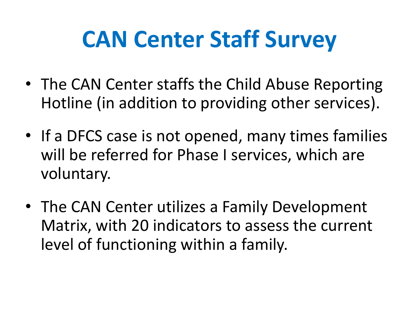- The CAN Center staffs the Child Abuse Reporting Hotline (in addition to providing other services).
- If a DFCS case is not opened, many times families will be referred for Phase I services, which are voluntary.
- The CAN Center utilizes a Family Development Matrix, with 20 indicators to assess the current level of functioning within a family.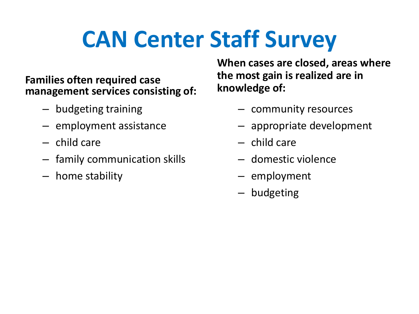#### **Families often required case management services consisting of:**

- budgeting training
- employment assistance
- child care
- family communication skills
- home stability

**When cases are closed, areas where the most gain is realized are in knowledge of:** 

- community resources
- appropriate development
- child care
- domestic violence
- employment
- budgeting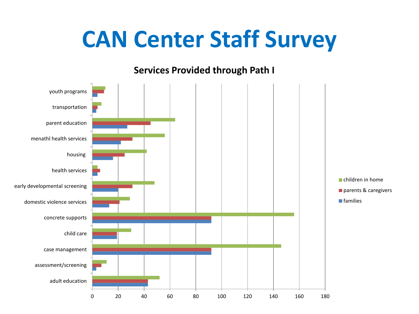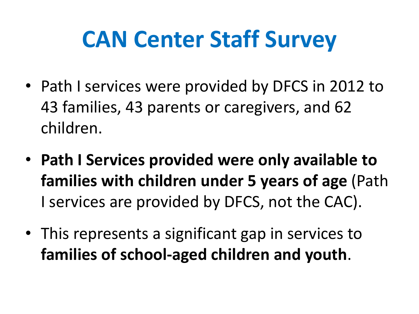- Path I services were provided by DFCS in 2012 to 43 families, 43 parents or caregivers, and 62 children.
- **Path I Services provided were only available to families with children under 5 years of age** (Path I services are provided by DFCS, not the CAC).
- This represents a significant gap in services to **families of school-aged children and youth**.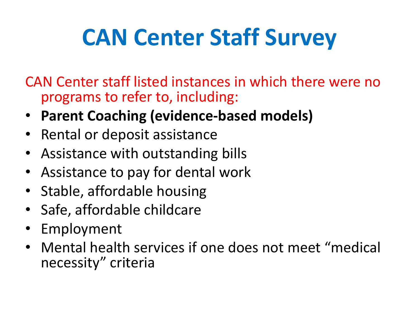CAN Center staff listed instances in which there were no programs to refer to, including:

- **Parent Coaching (evidence-based models)**
- Rental or deposit assistance
- Assistance with outstanding bills
- Assistance to pay for dental work
- Stable, affordable housing
- Safe, affordable childcare
- Employment
- Mental health services if one does not meet "medical necessity" criteria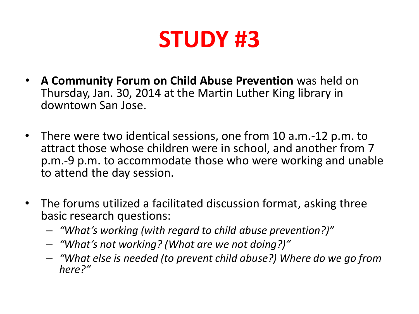#### **STUDY #3**

- **A Community Forum on Child Abuse Prevention** was held on Thursday, Jan. 30, 2014 at the Martin Luther King library in downtown San Jose.
- There were two identical sessions, one from 10 a.m.-12 p.m. to attract those whose children were in school, and another from 7 p.m.-9 p.m. to accommodate those who were working and unable to attend the day session.
- The forums utilized a facilitated discussion format, asking three basic research questions:
	- *"What's working (with regard to child abuse prevention?)"*
	- *"What's not working? (What are we not doing?)"*
	- *"What else is needed (to prevent child abuse?) Where do we go from here?"*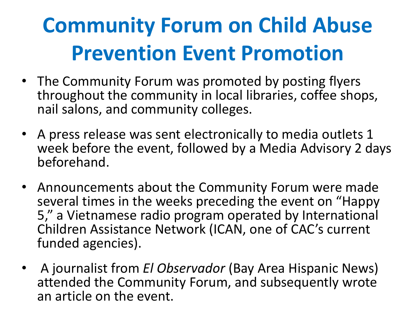### **Community Forum on Child Abuse Prevention Event Promotion**

- The Community Forum was promoted by posting flyers throughout the community in local libraries, coffee shops, nail salons, and community colleges.
- A press release was sent electronically to media outlets 1 week before the event, followed by a Media Advisory 2 days beforehand.
- Announcements about the Community Forum were made several times in the weeks preceding the event on "Happy 5," a Vietnamese radio program operated by International Children Assistance Network (ICAN, one of CAC's current funded agencies).
- A journalist from *El Observador* (Bay Area Hispanic News) attended the Community Forum, and subsequently wrote an article on the event.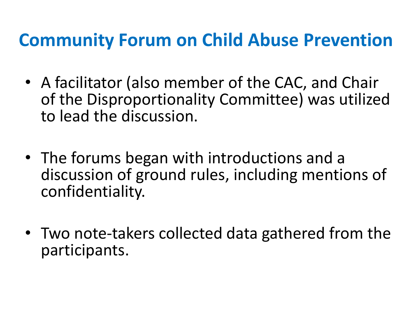#### **Community Forum on Child Abuse Prevention**

- A facilitator (also member of the CAC, and Chair of the Disproportionality Committee) was utilized to lead the discussion.
- The forums began with introductions and a discussion of ground rules, including mentions of confidentiality.
- Two note-takers collected data gathered from the participants.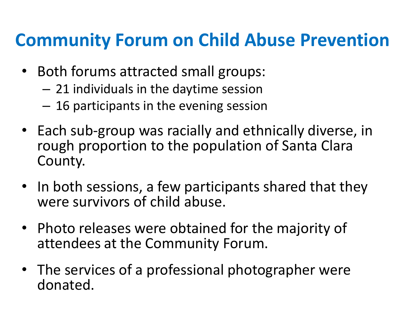#### **Community Forum on Child Abuse Prevention**

- Both forums attracted small groups:
	- 21 individuals in the daytime session
	- 16 participants in the evening session
- Each sub-group was racially and ethnically diverse, in rough proportion to the population of Santa Clara County.
- In both sessions, a few participants shared that they were survivors of child abuse.
- Photo releases were obtained for the majority of attendees at the Community Forum.
- The services of a professional photographer were donated.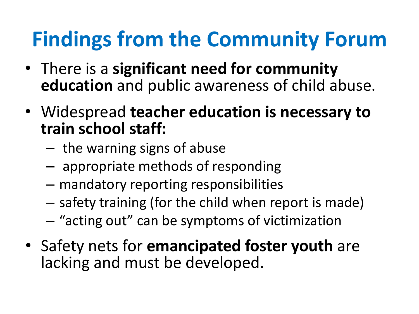### **Findings from the Community Forum**

- There is a **significant need for community education** and public awareness of child abuse.
- Widespread **teacher education is necessary to train school staff:** 
	- the warning signs of abuse
	- appropriate methods of responding
	- mandatory reporting responsibilities
	- safety training (for the child when report is made)
	- "acting out" can be symptoms of victimization
- Safety nets for **emancipated foster youth** are lacking and must be developed.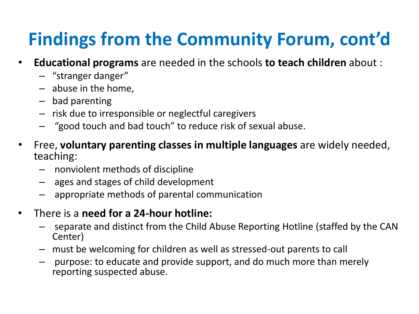#### **Findings from the Community Forum, cont'd**

- **Educational programs** are needed in the schools **to teach children** about :
	- "stranger danger"
	- abuse in the home,
	- bad parenting
	- risk due to irresponsible or neglectful caregivers
	- "good touch and bad touch" to reduce risk of sexual abuse.
- Free, **voluntary parenting classes in multiple languages** are widely needed, teaching:
	- nonviolent methods of discipline
	- ages and stages of child development
	- appropriate methods of parental communication
- There is a **need for a 24-hour hotline:** 
	- separate and distinct from the Child Abuse Reporting Hotline (staffed by the CAN Center)
	- must be welcoming for children as well as stressed-out parents to call
	- purpose: to educate and provide support, and do much more than merely reporting suspected abuse.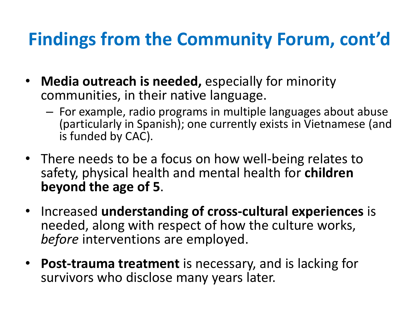#### **Findings from the Community Forum, cont'd**

- **Media outreach is needed,** especially for minority communities, in their native language.
	- For example, radio programs in multiple languages about abuse (particularly in Spanish); one currently exists in Vietnamese (and is funded by CAC).
- There needs to be a focus on how well-being relates to safety, physical health and mental health for **children beyond the age of 5**.
- Increased **understanding of cross-cultural experiences** is needed, along with respect of how the culture works, *before* interventions are employed.
- **Post-trauma treatment** is necessary, and is lacking for survivors who disclose many years later.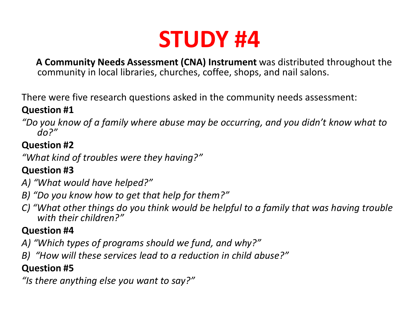#### **STUDY #4**

 **A Community Needs Assessment (CNA) Instrument** was distributed throughout the community in local libraries, churches, coffee, shops, and nail salons.

There were five research questions asked in the community needs assessment:

#### **Question #1**

*"Do you know of a family where abuse may be occurring, and you didn't know what to do?"*

#### **Question #2**

*"What kind of troubles were they having?"*

#### **Question #3**

- *A) "What would have helped?"*
- *B) "Do you know how to get that help for them?"*
- *C) "What other things do you think would be helpful to a family that was having trouble with their children?"*

#### **Question #4**

- *A) "Which types of programs should we fund, and why?"*
- *B) "How will these services lead to a reduction in child abuse?"*

#### **Question #5**

*"Is there anything else you want to say?"*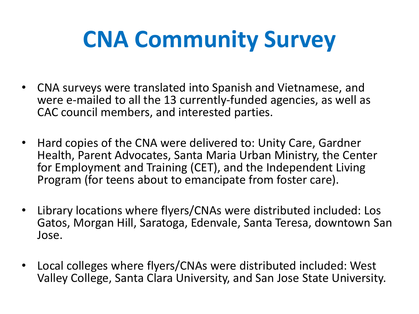# **CNA Community Survey**

- CNA surveys were translated into Spanish and Vietnamese, and were e-mailed to all the 13 currently-funded agencies, as well as CAC council members, and interested parties.
- Hard copies of the CNA were delivered to: Unity Care, Gardner Health, Parent Advocates, Santa Maria Urban Ministry, the Center for Employment and Training (CET), and the Independent Living Program (for teens about to emancipate from foster care).
- Library locations where flyers/CNAs were distributed included: Los Gatos, Morgan Hill, Saratoga, Edenvale, Santa Teresa, downtown San Jose.
- Local colleges where flyers/CNAs were distributed included: West Valley College, Santa Clara University, and San Jose State University.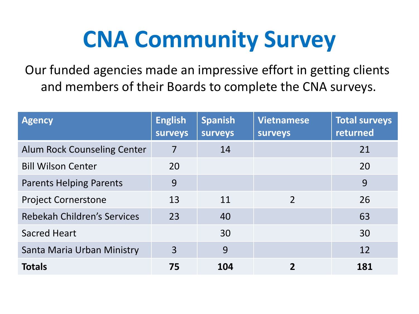## **CNA Community Survey**

Our funded agencies made an impressive effort in getting clients and members of their Boards to complete the CNA surveys.

| <b>Agency</b>                  | <b>English</b><br><b>surveys</b> | <b>Spanish</b><br><b>surveys</b> | <b>Vietnamese</b><br><b>surveys</b> | <b>Total surveys</b><br>returned |
|--------------------------------|----------------------------------|----------------------------------|-------------------------------------|----------------------------------|
| Alum Rock Counseling Center    | $\overline{7}$                   | 14                               |                                     | 21                               |
| <b>Bill Wilson Center</b>      | 20                               |                                  |                                     | 20                               |
| <b>Parents Helping Parents</b> | 9                                |                                  |                                     | 9                                |
| <b>Project Cornerstone</b>     | 13                               | 11                               | $\mathcal{P}$                       | 26                               |
| Rebekah Children's Services    | 23                               | 40                               |                                     | 63                               |
| <b>Sacred Heart</b>            |                                  | 30                               |                                     | 30                               |
| Santa Maria Urban Ministry     | 3                                | 9                                |                                     | 12                               |
| <b>Totals</b>                  | 75                               | 104                              |                                     | 181                              |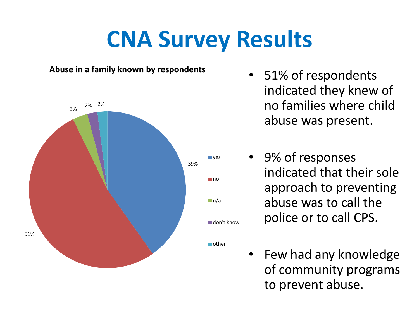

- 51% of respondents indicated they knew of no families where child abuse was present.
- 9% of responses indicated that their sole approach to preventing abuse was to call the police or to call CPS.
- 
- Few had any knowledge of community programs to prevent abuse.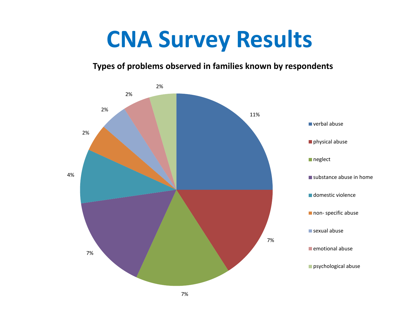#### **Types of problems observed in families known by respondents**

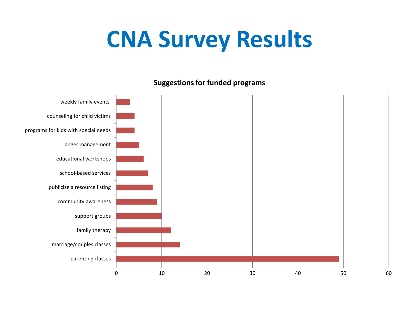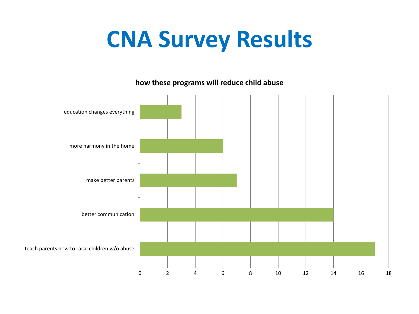**how these programs will reduce child abuse** 

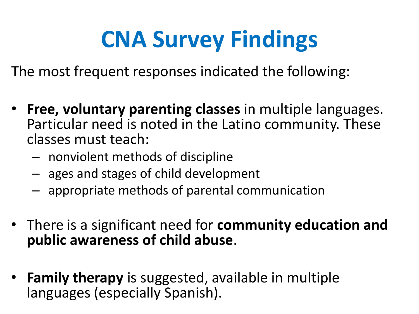# **CNA Survey Findings**

The most frequent responses indicated the following:

- **Free, voluntary parenting classes** in multiple languages. Particular need is noted in the Latino community. These classes must teach:
	- nonviolent methods of discipline
	- ages and stages of child development
	- appropriate methods of parental communication
- There is a significant need for **community education and public awareness of child abuse**.
- **Family therapy** is suggested, available in multiple languages (especially Spanish).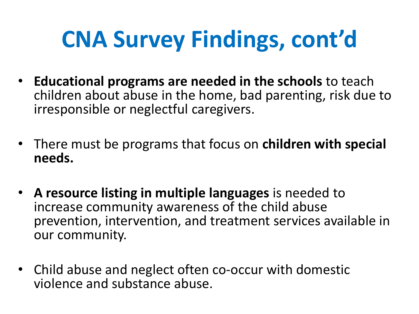# **CNA Survey Findings, cont'd**

- **Educational programs are needed in the schools** to teach children about abuse in the home, bad parenting, risk due to irresponsible or neglectful caregivers.
- There must be programs that focus on **children with special needs.**
- **A resource listing in multiple languages** is needed to increase community awareness of the child abuse prevention, intervention, and treatment services available in our community.
- Child abuse and neglect often co-occur with domestic violence and substance abuse.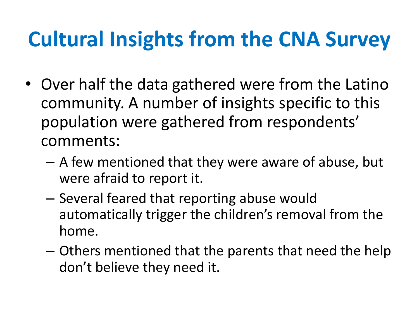### **Cultural Insights from the CNA Survey**

- Over half the data gathered were from the Latino community. A number of insights specific to this population were gathered from respondents' comments:
	- A few mentioned that they were aware of abuse, but were afraid to report it.
	- Several feared that reporting abuse would automatically trigger the children's removal from the home.
	- Others mentioned that the parents that need the help don't believe they need it.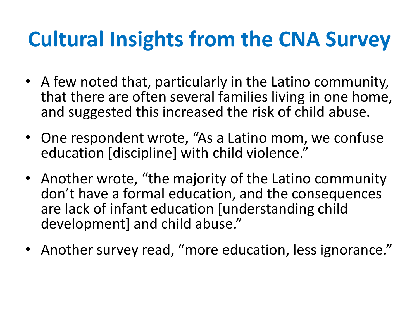### **Cultural Insights from the CNA Survey**

- A few noted that, particularly in the Latino community, that there are often several families living in one home, and suggested this increased the risk of child abuse.
- One respondent wrote, "As a Latino mom, we confuse education [discipline] with child violence."
- Another wrote, "the majority of the Latino community don't have a formal education, and the consequences are lack of infant education [understanding child development] and child abuse."
- Another survey read, "more education, less ignorance."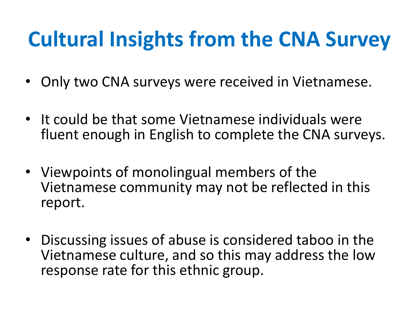### **Cultural Insights from the CNA Survey**

- Only two CNA surveys were received in Vietnamese.
- It could be that some Vietnamese individuals were fluent enough in English to complete the CNA surveys.
- Viewpoints of monolingual members of the Vietnamese community may not be reflected in this report.
- Discussing issues of abuse is considered taboo in the Vietnamese culture, and so this may address the low response rate for this ethnic group.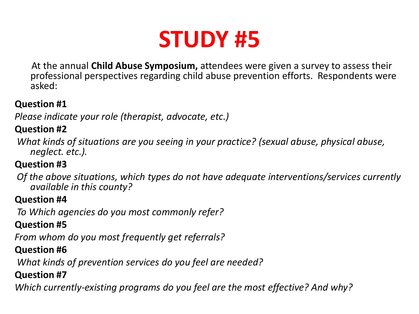

 At the annual **Child Abuse Symposium,** attendees were given a survey to assess their professional perspectives regarding child abuse prevention efforts. Respondents were asked:

#### **Question #1**

*Please indicate your role (therapist, advocate, etc.)*

#### **Question #2**

 *What kinds of situations are you seeing in your practice? (sexual abuse, physical abuse, neglect. etc.).* 

#### **Question #3**

 *Of the above situations, which types do not have adequate interventions/services currently available in this county?* 

#### **Question #4**

 *To Which agencies do you most commonly refer?* 

#### **Question #5**

*From whom do you most frequently get referrals?* 

#### **Question #6**

 *What kinds of prevention services do you feel are needed?* 

#### **Question #7**

*Which currently-existing programs do you feel are the most effective? And why?*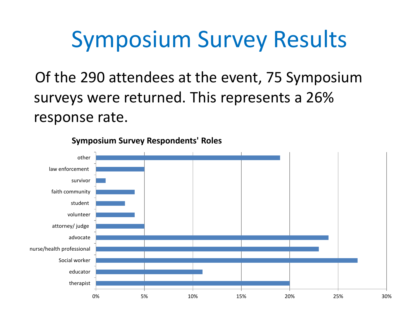Of the 290 attendees at the event, 75 Symposium surveys were returned. This represents a 26% response rate.



**Symposium Survey Respondents' Roles**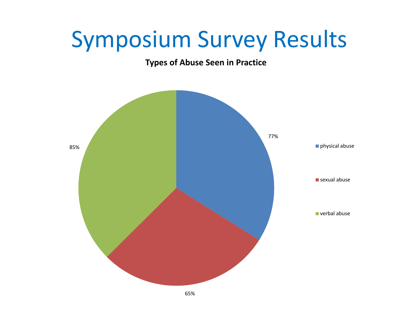#### **Types of Abuse Seen in Practice**

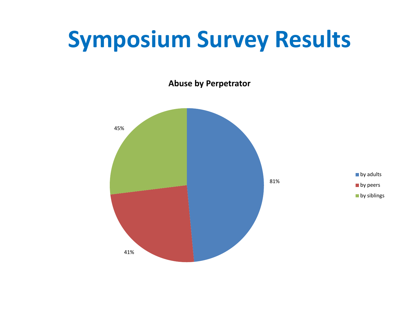**Abuse by Perpetrator**

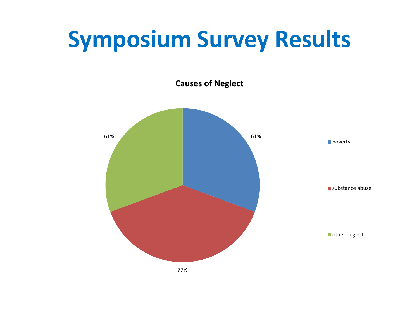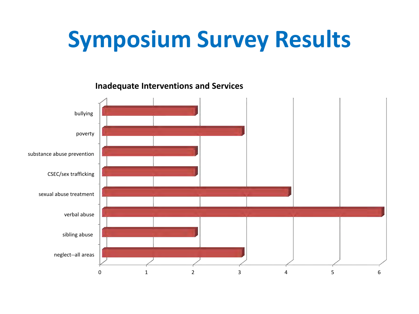

**Inadequate Interventions and Services**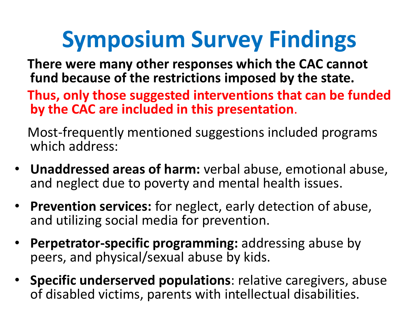# **Symposium Survey Findings**

- **There were many other responses which the CAC cannot fund because of the restrictions imposed by the state.**
- **Thus, only those suggested interventions that can be funded by the CAC are included in this presentation**.

 Most-frequently mentioned suggestions included programs which address:

- **Unaddressed areas of harm:** verbal abuse, emotional abuse, and neglect due to poverty and mental health issues.
- **Prevention services:** for neglect, early detection of abuse, and utilizing social media for prevention.
- **Perpetrator-specific programming:** addressing abuse by peers, and physical/sexual abuse by kids.
- **Specific underserved populations**: relative caregivers, abuse of disabled victims, parents with intellectual disabilities.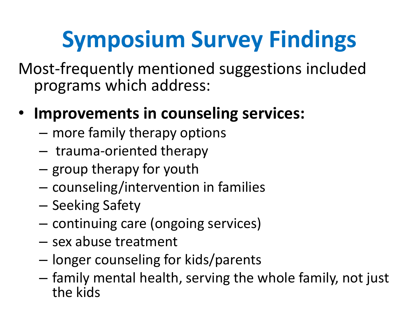# **Symposium Survey Findings**

Most-frequently mentioned suggestions included programs which address:

- **Improvements in counseling services:**
	- more family therapy options
	- trauma-oriented therapy
	- group therapy for youth
	- counseling/intervention in families
	- Seeking Safety
	- continuing care (ongoing services)
	- sex abuse treatment
	- longer counseling for kids/parents
	- family mental health, serving the whole family, not just the kids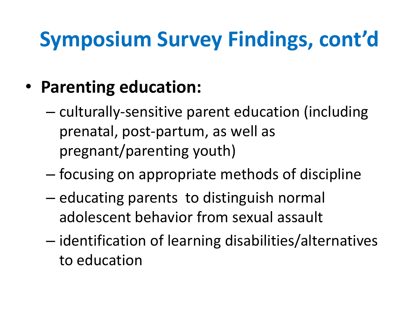### **Symposium Survey Findings, cont'd**

- **Parenting education:**
	- culturally-sensitive parent education (including prenatal, post-partum, as well as pregnant/parenting youth)
	- focusing on appropriate methods of discipline
	- educating parents to distinguish normal adolescent behavior from sexual assault
	- identification of learning disabilities/alternatives to education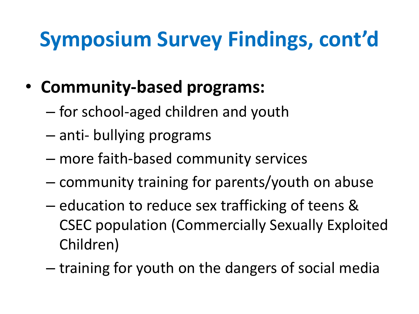#### **Symposium Survey Findings, cont'd**

- **Community-based programs:**
	- for school-aged children and youth
	- anti- bullying programs
	- more faith-based community services
	- community training for parents/youth on abuse
	- education to reduce sex trafficking of teens & CSEC population (Commercially Sexually Exploited Children)
	- training for youth on the dangers of social media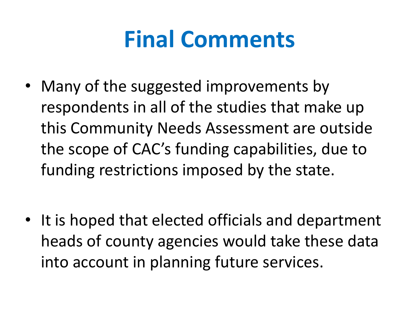### **Final Comments**

• Many of the suggested improvements by respondents in all of the studies that make up this Community Needs Assessment are outside the scope of CAC's funding capabilities, due to funding restrictions imposed by the state.

• It is hoped that elected officials and department heads of county agencies would take these data into account in planning future services.